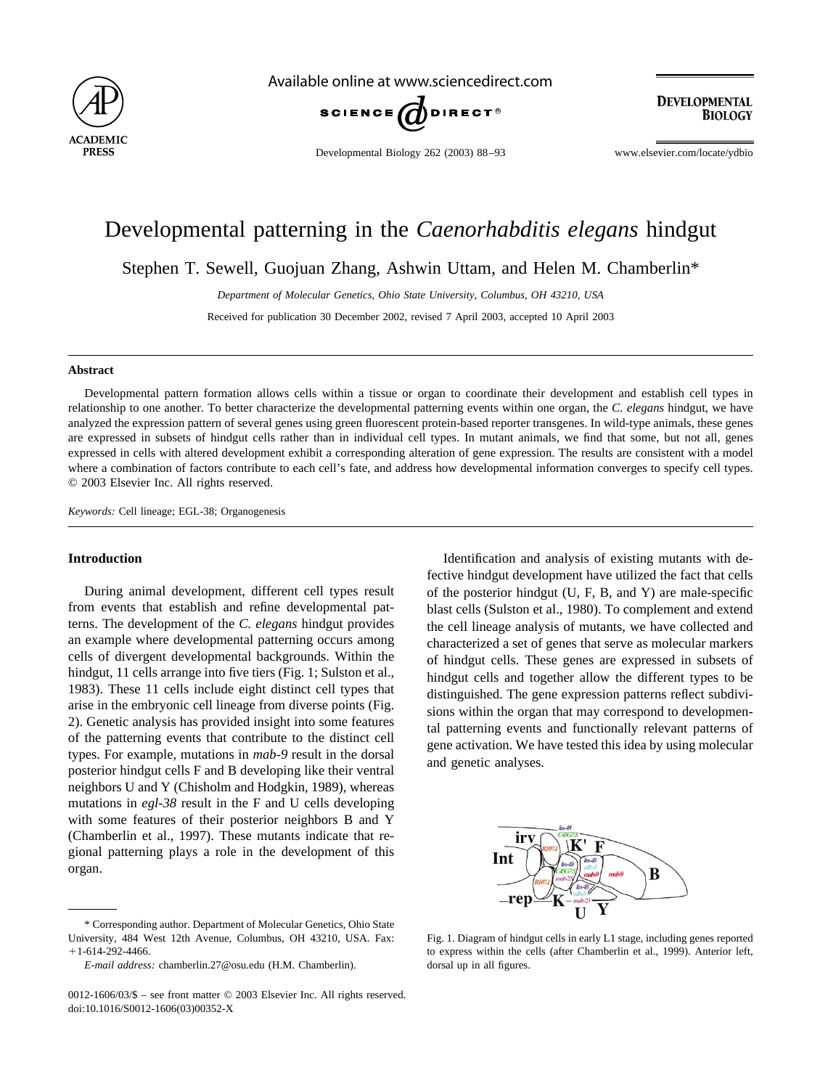

Available online at www.sciencedirect.com



**DEVELOPMENTAL BIOLOGY** 

Developmental Biology 262 (2003) 88–93 www.elsevier.com/locate/ydbio

# Developmental patterning in the *Caenorhabditis elegans* hindgut

Stephen T. Sewell, Guojuan Zhang, Ashwin Uttam, and Helen M. Chamberlin\*

*Department of Molecular Genetics, Ohio State University, Columbus, OH 43210, USA*

Received for publication 30 December 2002, revised 7 April 2003, accepted 10 April 2003

## **Abstract**

Developmental pattern formation allows cells within a tissue or organ to coordinate their development and establish cell types in relationship to one another. To better characterize the developmental patterning events within one organ, the *C. elegans* hindgut, we have analyzed the expression pattern of several genes using green fluorescent protein-based reporter transgenes. In wild-type animals, these genes are expressed in subsets of hindgut cells rather than in individual cell types. In mutant animals, we find that some, but not all, genes expressed in cells with altered development exhibit a corresponding alteration of gene expression. The results are consistent with a model where a combination of factors contribute to each cell's fate, and address how developmental information converges to specify cell types. © 2003 Elsevier Inc. All rights reserved.

*Keywords:* Cell lineage; EGL-38; Organogenesis

## **Introduction**

During animal development, different cell types result from events that establish and refine developmental patterns. The development of the *C. elegans* hindgut provides an example where developmental patterning occurs among cells of divergent developmental backgrounds. Within the hindgut, 11 cells arrange into five tiers (Fig. 1; [Sulston et al.,](#page-5-0) [1983\)](#page-5-0). These 11 cells include eight distinct cell types that arise in the embryonic cell lineage from diverse points [\(Fig.](#page-1-0) [2](#page-1-0)). Genetic analysis has provided insight into some features of the patterning events that contribute to the distinct cell types. For example, mutations in *mab-9* result in the dorsal posterior hindgut cells F and B developing like their ventral neighbors U and Y [\(Chisholm and Hodgkin, 1989\),](#page-5-0) whereas mutations in *egl-38* result in the F and U cells developing with some features of their posterior neighbors B and Y [\(Chamberlin et al., 1997\)](#page-5-0). These mutants indicate that regional patterning plays a role in the development of this organ.

\* Corresponding author. Department of Molecular Genetics, Ohio State University, 484 West 12th Avenue, Columbus, OH 43210, USA. Fax:  $+1-614-292-4466.$ 

Identification and analysis of existing mutants with defective hindgut development have utilized the fact that cells of the posterior hindgut (U, F, B, and Y) are male-specific blast cells [\(Sulston et al., 1980\)](#page-5-0). To complement and extend the cell lineage analysis of mutants, we have collected and characterized a set of genes that serve as molecular markers of hindgut cells. These genes are expressed in subsets of hindgut cells and together allow the different types to be distinguished. The gene expression patterns reflect subdivisions within the organ that may correspond to developmental patterning events and functionally relevant patterns of gene activation. We have tested this idea by using molecular and genetic analyses.



Fig. 1. Diagram of hindgut cells in early L1 stage, including genes reported to express within the cells (after [Chamberlin et al., 1999\)](#page-5-0). Anterior left, dorsal up in all figures.

*E-mail address:* chamberlin.27@osu.edu (H.M. Chamberlin).

<sup>0012-1606/03/\$ –</sup> see front matter © 2003 Elsevier Inc. All rights reserved. doi:10.1016/S0012-1606(03)00352-X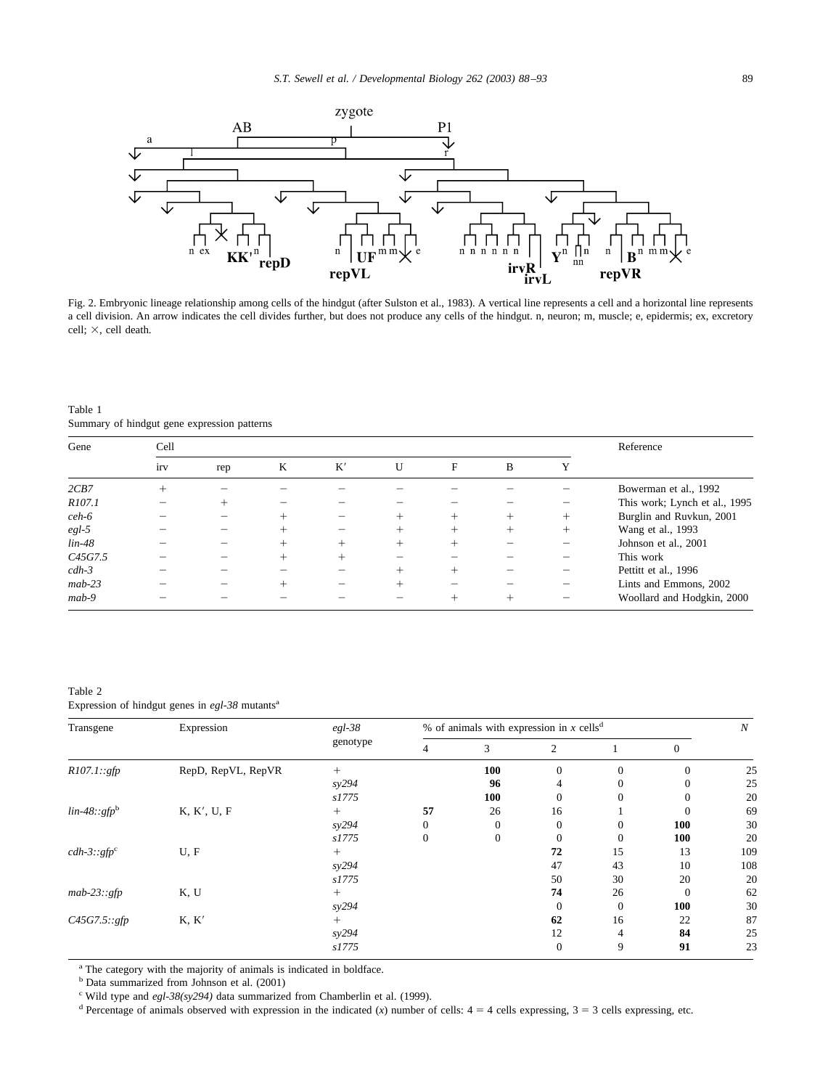<span id="page-1-0"></span>

Fig. 2. Embryonic lineage relationship among cells of the hindgut (after [Sulston et al., 1983\).](#page-5-0) A vertical line represents a cell and a horizontal line represents a cell division. An arrow indicates the cell divides further, but does not produce any cells of the hindgut. n, neuron; m, muscle; e, epidermis; ex, excretory cell;  $\times$ , cell death.

Table 1 Summary of hindgut gene expression patterns

| Gene     | Cell |     | Reference |    |        |   |        |        |                               |
|----------|------|-----|-----------|----|--------|---|--------|--------|-------------------------------|
|          | irv  | rep | K         | K' | U      | F | B      |        |                               |
| 2CB7     |      |     |           |    |        |   |        |        | Bowerman et al., 1992         |
| R107.1   |      |     |           |    |        |   |        |        | This work; Lynch et al., 1995 |
| $ceh-6$  |      |     |           |    |        |   | $^{+}$ | $^{+}$ | Burglin and Ruvkun, 2001      |
| $egl-5$  |      |     |           |    |        |   | $+$    | $^{+}$ | Wang et al., 1993             |
| $lin-48$ |      |     |           |    | $^{+}$ |   |        |        | Johnson et al., 2001          |
| C45G7.5  |      |     |           |    |        |   |        |        | This work                     |
| $cdh-3$  |      |     |           |    | $^+$   |   |        |        | Pettitt et al., 1996          |
| $mab-23$ |      |     |           |    | $^+$   |   |        |        | Lints and Emmons, 2002        |
| $mab-9$  |      |     |           |    |        |   |        |        | Woollard and Hodgkin, 2000    |

Table 2 Expression of hindgut genes in egl-38 mutants<sup>a</sup>

| Transgene      | Expression         | $egl-38$ | % of animals with expression in x cells <sup>d</sup> |              |              |              |                |     |  |
|----------------|--------------------|----------|------------------------------------------------------|--------------|--------------|--------------|----------------|-----|--|
|                |                    | genotype | 4                                                    | 3            | 2            |              | $\overline{0}$ |     |  |
| R107.1::gfp    | RepD, RepVL, RepVR | $^{+}$   |                                                      | 100          | $\Omega$     | $\theta$     | $\Omega$       | 25  |  |
|                |                    | sy294    |                                                      | 96           | 4            |              |                | 25  |  |
|                |                    | s1775    |                                                      | 100          |              | 0            | $\Omega$       | 20  |  |
| $lin-48::gfpb$ | K, K', U, F        | $^{+}$   | 57                                                   | 26           | 16           |              | $\Omega$       | 69  |  |
|                |                    | sy294    | $\mathbf{0}$                                         | $\mathbf{0}$ | $\Omega$     | $\mathbf{0}$ | 100            | 30  |  |
|                |                    | s1775    | $\Omega$                                             | $\Omega$     |              | $\Omega$     | 100            | 20  |  |
| $cdh-3::gfpc$  | U, F               | $^{+}$   |                                                      |              | 72           | 15           | 13             | 109 |  |
|                |                    | syz94    |                                                      |              | 47           | 43           | 10             | 108 |  |
|                |                    | s1775    |                                                      |              | 50           | 30           | 20             | 20  |  |
| $mab-23::gfp$  | K, U               | $^{+}$   |                                                      |              | 74           | 26           | $\Omega$       | 62  |  |
|                |                    | sy294    |                                                      |              |              | $\Omega$     | 100            | 30  |  |
| C45G7.5::gfp   | K, K'              | $^{+}$   |                                                      |              | 62           | 16           | 22             | 87  |  |
|                |                    | sy294    |                                                      |              | 12           | 4            | 84             | 25  |  |
|                |                    | s1775    |                                                      |              | $\mathbf{0}$ | 9            | 91             | 23  |  |

<sup>a</sup> The category with the majority of animals is indicated in boldface.

<sup>b</sup> Data summarized from [Johnson et al. \(2001\)](#page-5-0)

<sup>c</sup> Wild type and *egl-38(sy294)* data summarized from [Chamberlin et al. \(1999\).](#page-5-0)

<sup>d</sup> Percentage of animals observed with expression in the indicated (*x*) number of cells:  $4 = 4$  cells expressing,  $3 = 3$  cells expressing, etc.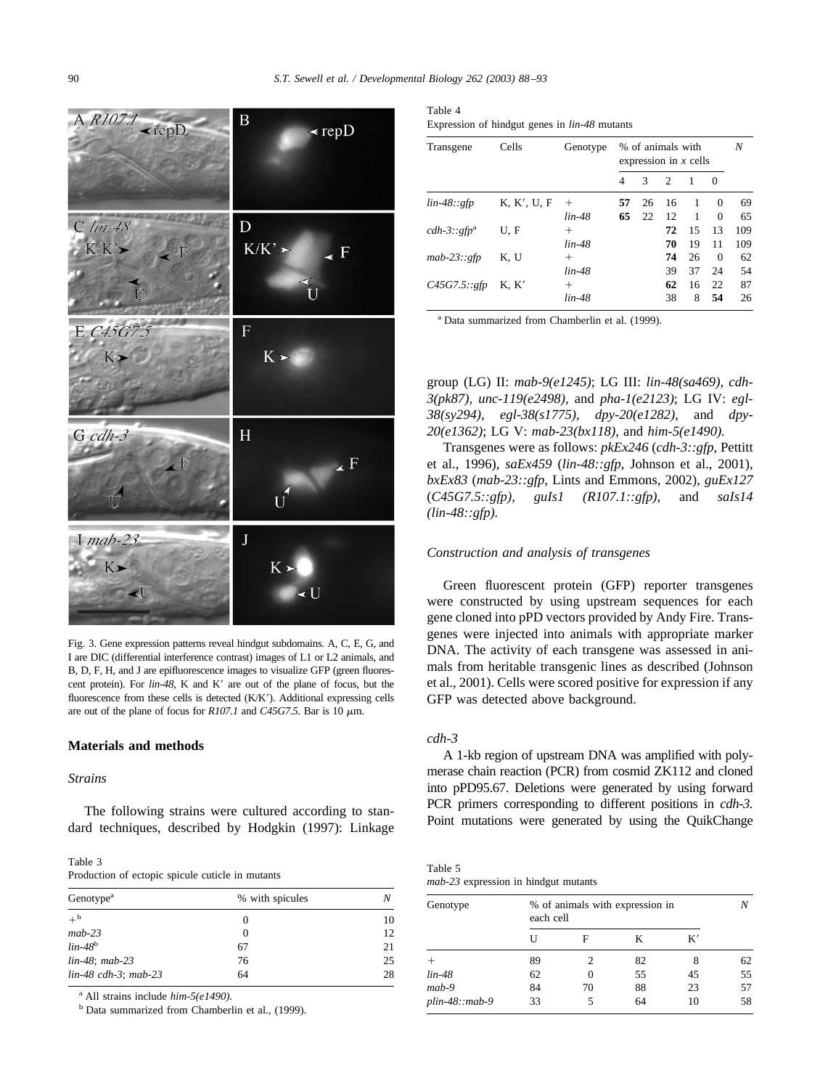<span id="page-2-0"></span>

Fig. 3. Gene expression patterns reveal hindgut subdomains. A, C, E, G, and I are DIC (differential interference contrast) images of L1 or L2 animals, and B, D, F, H, and J are epifluorescence images to visualize GFP (green fluorescent protein). For *lin-48*, K and K' are out of the plane of focus, but the fluorescence from these cells is detected (K/K'). Additional expressing cells are out of the plane of focus for  $R107.1$  and  $C45G7.5$ . Bar is 10  $\mu$ m.

## **Materials and methods**

## *Strains*

The following strains were cultured according to standard techniques, described by [Hodgkin \(1997\)](#page-5-0): Linkage

| Table 3                                          |
|--------------------------------------------------|
| Production of ectopic spicule cuticle in mutants |

| Genotype <sup>a</sup>  | % with spicules |    |
|------------------------|-----------------|----|
| $+^{\rm b}$            | 0               | 10 |
| $mab-23$               | 0               | 12 |
| $lin-48b$              | 67              | 21 |
| $lin-48$ ; mab-23      | 76              | 25 |
| $lin-48$ cdh-3; mab-23 | 64              | 28 |

<sup>a</sup> All strains include *him-5(e1490).*

<sup>b</sup> Data summarized from Chamberlin et al., (1999).

| Table 4                                              |  |  |
|------------------------------------------------------|--|--|
| Expression of hindgut genes in <i>lin-48</i> mutants |  |  |

| Transgene     | Cells       | Genotype | % of animals with<br>expression in $x$ cells |    | Ν  |                |          |     |
|---------------|-------------|----------|----------------------------------------------|----|----|----------------|----------|-----|
|               |             |          | 4                                            | 3  | 2  | $\overline{1}$ | $\Omega$ |     |
| $lin-48::gfp$ | K, K', U, F | $^{+}$   | 57                                           | 26 | 16 | -1             | $\Omega$ | 69  |
|               |             | $lin-48$ | 65                                           | 22 | 12 | $\overline{1}$ | $\Omega$ | 65  |
| $cdh-3::gfpa$ | U.F         | $^+$     |                                              |    | 72 | 15             | 13       | 109 |
|               |             | $lin-48$ |                                              |    | 70 | 19             | 11       | 109 |
| $mab-23::gfp$ | K. U        | $^+$     |                                              |    | 74 | 26             | $\Omega$ | 62  |
|               |             | $lin-48$ |                                              |    | 39 | 37             | 24       | 54  |
| C45G7.5::gfp  | K. K'       | $^+$     |                                              |    | 62 | 16             | 22       | 87  |
|               |             | lin-48   |                                              |    | 38 | 8              | 54       | 26  |

<sup>a</sup> Data summarized from [Chamberlin et al. \(1999\)](#page-5-0).

group (LG) II: *mab-9(e1245)*; LG III: *lin-48(sa469), cdh-3(pk87), unc-119(e2498)*, and *pha-1(e2123)*; LG IV: *egl-38(sy294), egl-38(s1775), dpy-20(e1282)*, and *dpy-20(e1362)*; LG V: *mab-23(bx118)*, and *him-5(e1490).*

Transgenes were as follows: *pkEx246* (*cdh-3::gfp*, [Pettitt](#page-5-0) [et al., 1996\)](#page-5-0), *saEx459* (*lin-48::gfp*, [Johnson et al., 2001\),](#page-5-0) *bxEx83* (*mab-23::gfp*, [Lints and Emmons, 2002\),](#page-5-0) *guEx127* (*C45G7.5::gfp), guIs1 (R107.1::gfp)*, and *saIs14 (lin-48::gfp).*

# *Construction and analysis of transgenes*

Green fluorescent protein (GFP) reporter transgenes were constructed by using upstream sequences for each gene cloned into pPD vectors provided by Andy Fire. Transgenes were injected into animals with appropriate marker DNA. The activity of each transgene was assessed in animals from heritable transgenic lines as described [\(Johnson](#page-5-0) [et al., 2001\)](#page-5-0). Cells were scored positive for expression if any GFP was detected above background.

## *cdh-3*

A 1-kb region of upstream DNA was amplified with polymerase chain reaction (PCR) from cosmid ZK112 and cloned into pPD95.67. Deletions were generated by using forward PCR primers corresponding to different positions in *cdh-3.* Point mutations were generated by using the QuikChange

Table 5 *mab-23* expression in hindgut mutants

| Genotype         | % of animals with expression in<br>each cell |    |    |    |    |  |  |
|------------------|----------------------------------------------|----|----|----|----|--|--|
|                  | U                                            | F  | K  | K' |    |  |  |
|                  | 89                                           |    | 82 |    | 62 |  |  |
| $lin-48$         | 62                                           |    | 55 | 45 | 55 |  |  |
| $mab-9$          | 84                                           | 70 | 88 | 23 | 57 |  |  |
| $plin-48::mab-9$ | 33                                           |    | 64 | 10 | 58 |  |  |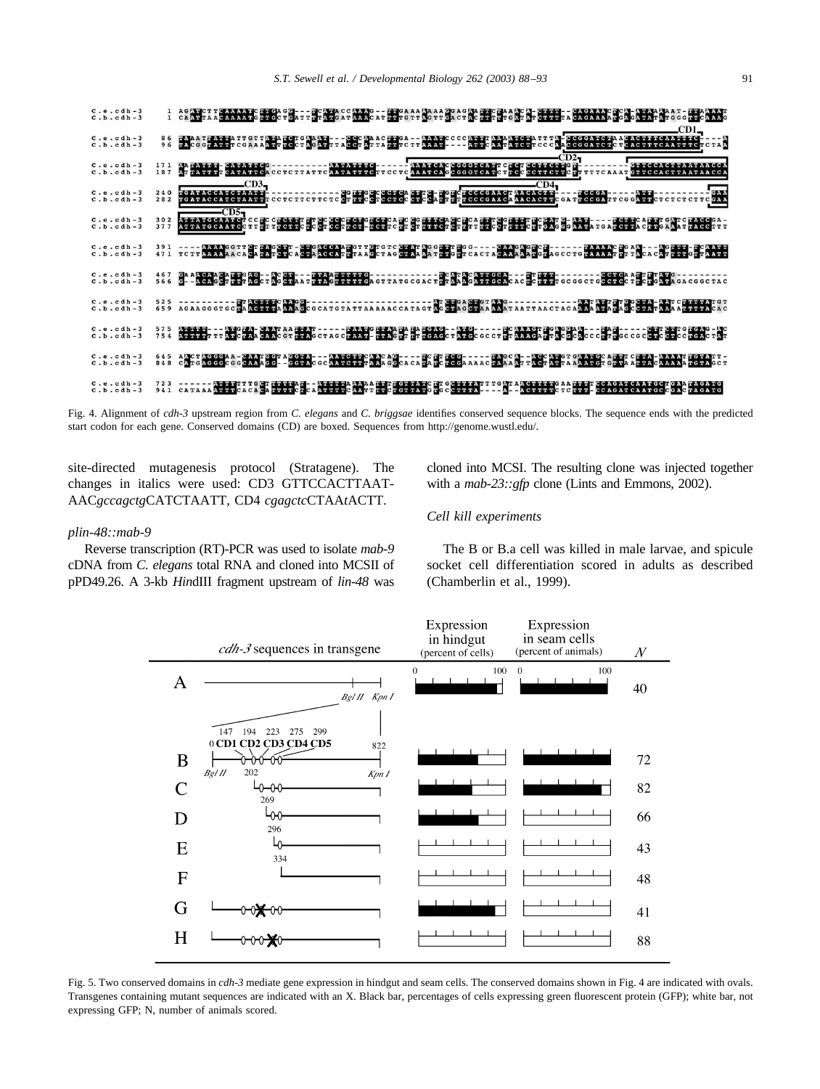<span id="page-3-0"></span>

Fig. 4. Alignment of *cdh-3* upstream region from *C. elegans* and *C. briggsae* identifies conserved sequence blocks. The sequence ends with the predicted start codon for each gene. Conserved domains (CD) are boxed. Sequences from<http://genome.wustl.edu/.>

site-directed mutagenesis protocol (Stratagene). The changes in italics were used: CD3 GTTCCACTTAAT-AAC*gccagctg*CATCTAATT, CD4 *cgagctc*CTAA*t*ACTT.

## *plin-48::mab-9*

Reverse transcription (RT)-PCR was used to isolate *mab-9* cDNA from *C. elegans* total RNA and cloned into MCSII of pPD49.26. A 3-kb *Hin*dIII fragment upstream of *lin-48* was cloned into MCSI. The resulting clone was injected together with a *mab-23::gfp* clone [\(Lints and Emmons, 2002\).](#page-5-0)

# *Cell kill experiments*

The B or B.a cell was killed in male larvae, and spicule socket cell differentiation scored in adults as described [\(Chamberlin et al., 1999\)](#page-5-0).



Fig. 5. Two conserved domains in *cdh-3* mediate gene expression in hindgut and seam cells. The conserved domains shown in Fig. 4 are indicated with ovals. Transgenes containing mutant sequences are indicated with an X. Black bar, percentages of cells expressing green fluorescent protein (GFP); white bar, not expressing GFP; N, number of animals scored.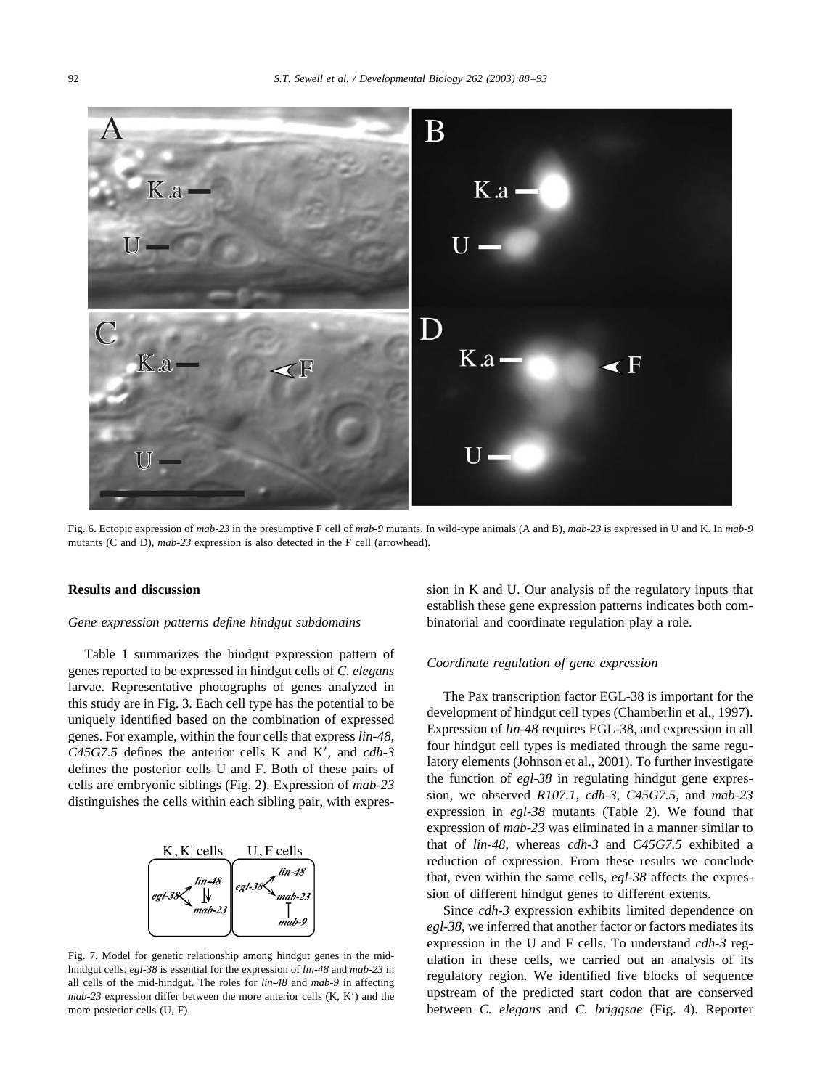<span id="page-4-0"></span>

Fig. 6. Ectopic expression of *mab-23* in the presumptive F cell of *mab-9* mutants. In wild-type animals (A and B), *mab-23* is expressed in U and K. In *mab-9* mutants (C and D), *mab-23* expression is also detected in the F cell (arrowhead).

# **Results and discussion**

## *Gene expression patterns define hindgut subdomains*

[Table 1](#page-1-0) summarizes the hindgut expression pattern of genes reported to be expressed in hindgut cells of *C. elegans* larvae. Representative photographs of genes analyzed in this study are in [Fig. 3](#page-2-0). Each cell type has the potential to be uniquely identified based on the combination of expressed genes. For example, within the four cells that express *lin-48,* C45G7.5 defines the anterior cells K and K', and *cdh*-3 defines the posterior cells U and F. Both of these pairs of cells are embryonic siblings [\(Fig. 2\)](#page-1-0). Expression of *mab-23* distinguishes the cells within each sibling pair, with expres-



Fig. 7. Model for genetic relationship among hindgut genes in the midhindgut cells. *egl-38* is essential for the expression of *lin-48* and *mab-23* in all cells of the mid-hindgut. The roles for *lin-48* and *mab-9* in affecting  $mab-23$  expression differ between the more anterior cells  $(K, K')$  and the more posterior cells (U, F).

sion in K and U. Our analysis of the regulatory inputs that establish these gene expression patterns indicates both combinatorial and coordinate regulation play a role.

## *Coordinate regulation of gene expression*

The Pax transcription factor EGL-38 is important for the development of hindgut cell types [\(Chamberlin et al., 1997\).](#page-5-0) Expression of *lin-48* requires EGL-38, and expression in all four hindgut cell types is mediated through the same regulatory elements [\(Johnson et al., 2001\)](#page-5-0). To further investigate the function of *egl-38* in regulating hindgut gene expression, we observed *R107.1, cdh-3, C45G7.5*, and *mab-23* expression in *egl-38* mutants ([Table 2\)](#page-1-0). We found that expression of *mab-23* was eliminated in a manner similar to that of *lin-48*, whereas *cdh-3* and *C45G7.5* exhibited a reduction of expression. From these results we conclude that, even within the same cells, *egl-38* affects the expression of different hindgut genes to different extents.

Since *cdh-3* expression exhibits limited dependence on *egl-38*, we inferred that another factor or factors mediates its expression in the U and F cells. To understand *cdh-3* regulation in these cells, we carried out an analysis of its regulatory region. We identified five blocks of sequence upstream of the predicted start codon that are conserved between *C. elegans* and *C. briggsae* ([Fig. 4\)](#page-3-0). Reporter